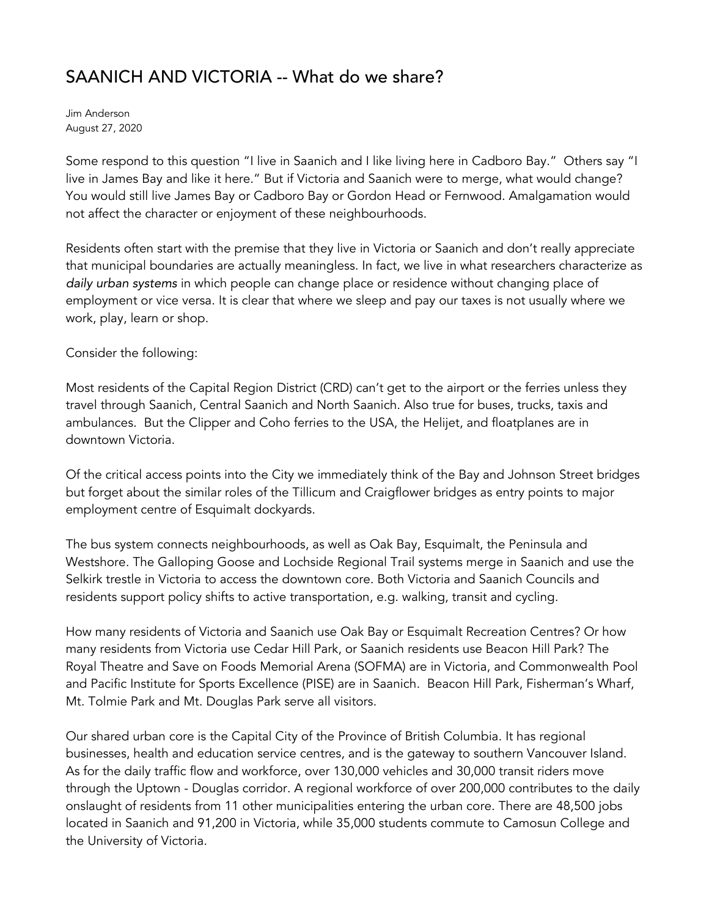## SAANICH AND VICTORIA -- What do we share?

Jim Anderson August 27, 2020

Some respond to this question "I live in Saanich and I like living here in Cadboro Bay." Others say "I live in James Bay and like it here." But if Victoria and Saanich were to merge, what would change? You would still live James Bay or Cadboro Bay or Gordon Head or Fernwood. Amalgamation would not affect the character or enjoyment of these neighbourhoods.

Residents often start with the premise that they live in Victoria or Saanich and don't really appreciate that municipal boundaries are actually meaningless. In fact, we live in what researchers characterize as daily urban systems in which people can change place or residence without changing place of employment or vice versa. It is clear that where we sleep and pay our taxes is not usually where we work, play, learn or shop.

Consider the following:

Most residents of the Capital Region District (CRD) can't get to the airport or the ferries unless they travel through Saanich, Central Saanich and North Saanich. Also true for buses, trucks, taxis and ambulances. But the Clipper and Coho ferries to the USA, the Helijet, and floatplanes are in downtown Victoria.

Of the critical access points into the City we immediately think of the Bay and Johnson Street bridges but forget about the similar roles of the Tillicum and Craigflower bridges as entry points to major employment centre of Esquimalt dockyards.

The bus system connects neighbourhoods, as well as Oak Bay, Esquimalt, the Peninsula and Westshore. The Galloping Goose and Lochside Regional Trail systems merge in Saanich and use the Selkirk trestle in Victoria to access the downtown core. Both Victoria and Saanich Councils and residents support policy shifts to active transportation, e.g. walking, transit and cycling.

How many residents of Victoria and Saanich use Oak Bay or Esquimalt Recreation Centres? Or how many residents from Victoria use Cedar Hill Park, or Saanich residents use Beacon Hill Park? The Royal Theatre and Save on Foods Memorial Arena (SOFMA) are in Victoria, and Commonwealth Pool and Pacific Institute for Sports Excellence (PISE) are in Saanich. Beacon Hill Park, Fisherman's Wharf, Mt. Tolmie Park and Mt. Douglas Park serve all visitors.

Our shared urban core is the Capital City of the Province of British Columbia. It has regional businesses, health and education service centres, and is the gateway to southern Vancouver Island. As for the daily traffic flow and workforce, over 130,000 vehicles and 30,000 transit riders move through the Uptown - Douglas corridor. A regional workforce of over 200,000 contributes to the daily onslaught of residents from 11 other municipalities entering the urban core. There are 48,500 jobs located in Saanich and 91,200 in Victoria, while 35,000 students commute to Camosun College and the University of Victoria.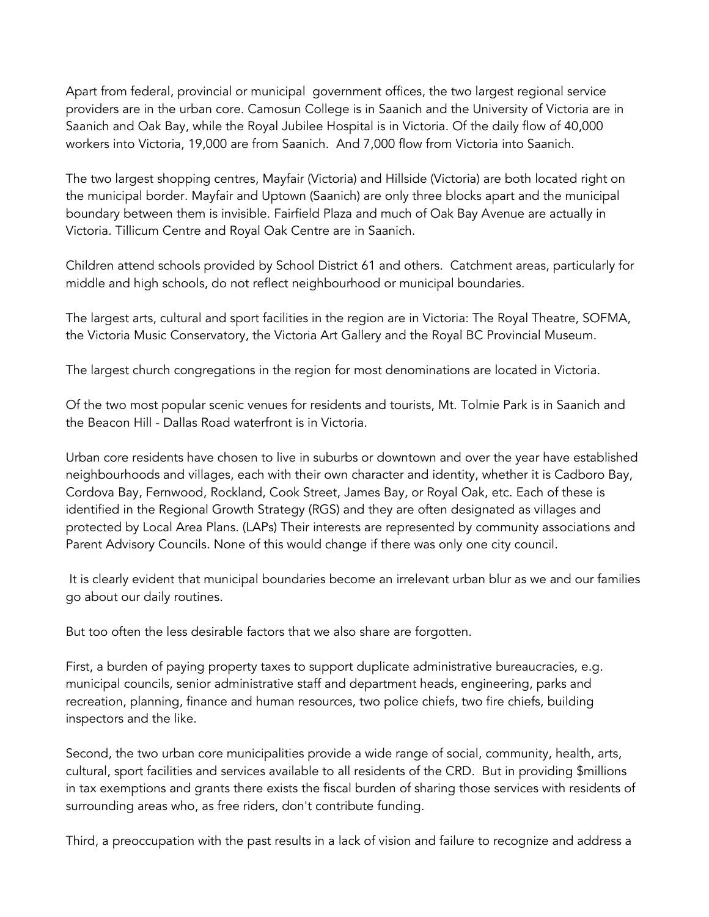Apart from federal, provincial or municipal government offices, the two largest regional service providers are in the urban core. Camosun College is in Saanich and the University of Victoria are in Saanich and Oak Bay, while the Royal Jubilee Hospital is in Victoria. Of the daily flow of 40,000 workers into Victoria, 19,000 are from Saanich. And 7,000 flow from Victoria into Saanich.

The two largest shopping centres, Mayfair (Victoria) and Hillside (Victoria) are both located right on the municipal border. Mayfair and Uptown (Saanich) are only three blocks apart and the municipal boundary between them is invisible. Fairfield Plaza and much of Oak Bay Avenue are actually in Victoria. Tillicum Centre and Royal Oak Centre are in Saanich.

Children attend schools provided by School District 61 and others. Catchment areas, particularly for middle and high schools, do not reflect neighbourhood or municipal boundaries.

The largest arts, cultural and sport facilities in the region are in Victoria: The Royal Theatre, SOFMA, the Victoria Music Conservatory, the Victoria Art Gallery and the Royal BC Provincial Museum.

The largest church congregations in the region for most denominations are located in Victoria.

Of the two most popular scenic venues for residents and tourists, Mt. Tolmie Park is in Saanich and the Beacon Hill - Dallas Road waterfront is in Victoria.

Urban core residents have chosen to live in suburbs or downtown and over the year have established neighbourhoods and villages, each with their own character and identity, whether it is Cadboro Bay, Cordova Bay, Fernwood, Rockland, Cook Street, James Bay, or Royal Oak, etc. Each of these is identified in the Regional Growth Strategy (RGS) and they are often designated as villages and protected by Local Area Plans. (LAPs) Their interests are represented by community associations and Parent Advisory Councils. None of this would change if there was only one city council.

 It is clearly evident that municipal boundaries become an irrelevant urban blur as we and our families go about our daily routines.

But too often the less desirable factors that we also share are forgotten.

First, a burden of paying property taxes to support duplicate administrative bureaucracies, e.g. municipal councils, senior administrative staff and department heads, engineering, parks and recreation, planning, finance and human resources, two police chiefs, two fire chiefs, building inspectors and the like.

Second, the two urban core municipalities provide a wide range of social, community, health, arts, cultural, sport facilities and services available to all residents of the CRD. But in providing \$millions in tax exemptions and grants there exists the fiscal burden of sharing those services with residents of surrounding areas who, as free riders, don't contribute funding.

Third, a preoccupation with the past results in a lack of vision and failure to recognize and address a